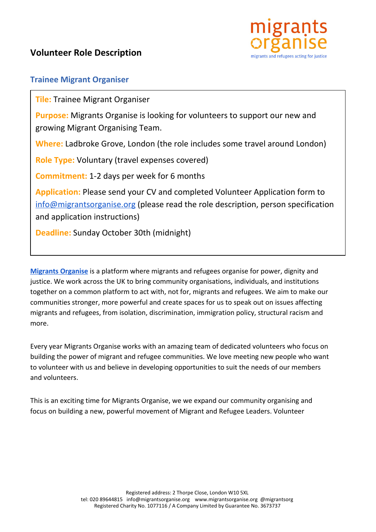

## **Trainee Migrant Organiser**

**Tile:** Trainee Migrant Organiser

**Purpose:** Migrants Organise is looking for volunteers to support our new and growing Migrant Organising Team.

**Where:** Ladbroke Grove, London (the role includes some travel around London)

**Role Type:** Voluntary (travel expenses covered)

**Commitment:** 1-2 days per week for 6 months

**Application:** Please send your CV and completed Volunteer Application form to [info@migrantsorganise.org](mailto:info@migrantsorganise.org) (please read the role description, person specification and application instructions)

**Deadline:** Sunday October 30th (midnight)

**[Migrants Organise](http://www.migrantsorganise.org/)** is a platform where migrants and refugees organise for power, dignity and justice. We work across the UK to bring community organisations, individuals, and institutions together on a common platform to act with, not for, migrants and refugees. We aim to make our communities stronger, more powerful and create spaces for us to speak out on issues affecting migrants and refugees, from isolation, discrimination, immigration policy, structural racism and more.

Every year Migrants Organise works with an amazing team of dedicated volunteers who focus on building the power of migrant and refugee communities. We love meeting new people who want to volunteer with us and believe in developing opportunities to suit the needs of our members and volunteers.

This is an exciting time for Migrants Organise, we we expand our community organising and focus on building a new, powerful movement of Migrant and Refugee Leaders. Volunteer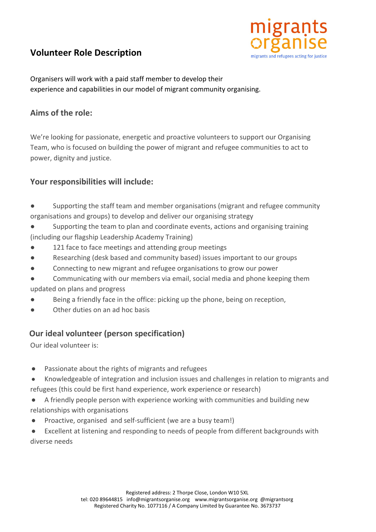# **Volunteer Role Description**



Organisers will work with a paid staff member to develop their experience and capabilities in our model of migrant community organising.

## **Aims of the role:**

We're looking for passionate, energetic and proactive volunteers to support our Organising Team, who is focused on building the power of migrant and refugee communities to act to power, dignity and justice.

#### **Your responsibilities will include:**

- Supporting the staff team and member organisations (migrant and refugee community organisations and groups) to develop and deliver our organising strategy
- Supporting the team to plan and coordinate events, actions and organising training (including our flagship Leadership Academy Training)
- 121 face to face meetings and attending group meetings
- Researching (desk based and community based) issues important to our groups
- Connecting to new migrant and refugee organisations to grow our power
- Communicating with our members via email, social media and phone keeping them updated on plans and progress
- Being a friendly face in the office: picking up the phone, being on reception,
- Other duties on an ad hoc basis

## **Our ideal volunteer (person specification)**

Our ideal volunteer is:

- Passionate about the rights of migrants and refugees
- Knowledgeable of integration and inclusion issues and challenges in relation to migrants and refugees (this could be first hand experience, work experience or research)
- A friendly people person with experience working with communities and building new relationships with organisations
- Proactive, organised and self-sufficient (we are a busy team!)
- Excellent at listening and responding to needs of people from different backgrounds with diverse needs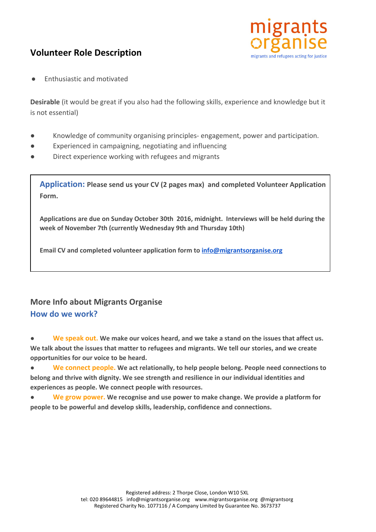# **Volunteer Role Description**



**Enthusiastic and motivated** 

**Desirable** (it would be great if you also had the following skills, experience and knowledge but it is not essential)

- Knowledge of community organising principles- engagement, power and participation.
- Experienced in campaigning, negotiating and influencing
- Direct experience working with refugees and migrants

**Application: Please send us your CV (2 pages max) and completed Volunteer Application Form.**

**Applications are due on Sunday October 30th 2016, midnight. Interviews will be held during the week of November 7th (currently Wednesday 9th and Thursday 10th)**

**Email CV and completed volunteer application form to [info@migrantsorganise.org](mailto:info@migrantsorganise.org)**

# **More Info about Migrants Organise How do we work?**

**● [We speak out](http://www.migrantsorganise.org/?page_id=1799)[.](http://www.migrantsorganise.org/?page_id=1799) We make our voices heard, and we take a stand on the issues that affect us. We talk about the issues that matter to refugees and migrants. We tell our stories, and we create opportunities for our voice to be heard.**

**● [We connect people](http://www.migrantsorganise.org/?page_id=25864). We act relationally, to help people belong. People need connections to belong and thrive with dignity. We see strength and resilience in our individual identities and experiences as people. We connect people with resources.**

**● [We grow power.](http://www.migrantsorganise.org/?page_id=25866) We recognise and use power to make change. We provide a platform for people to be powerful and develop skills, leadership, confidence and connections.**